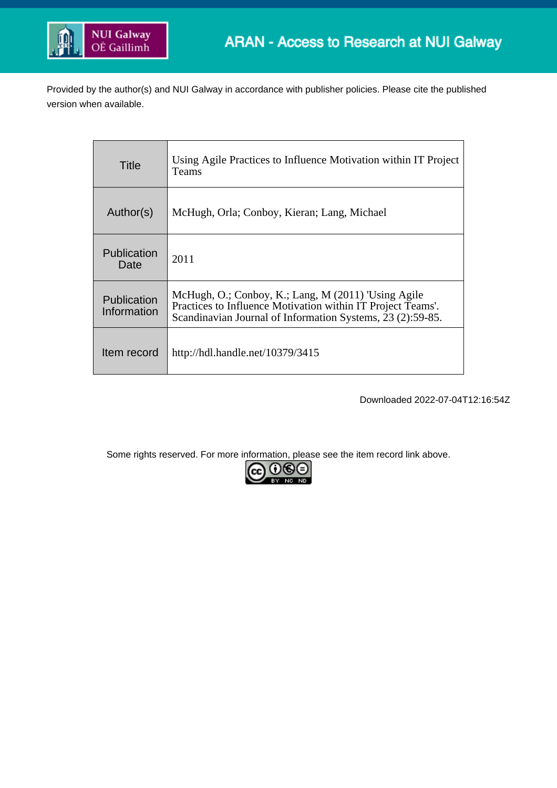

Provided by the author(s) and NUI Galway in accordance with publisher policies. Please cite the published version when available.

| Title                      | Using Agile Practices to Influence Motivation within IT Project<br>Teams                                                                                                         |
|----------------------------|----------------------------------------------------------------------------------------------------------------------------------------------------------------------------------|
| Author(s)                  | McHugh, Orla; Conboy, Kieran; Lang, Michael                                                                                                                                      |
| <b>Publication</b><br>Date | 2011                                                                                                                                                                             |
| Publication<br>Information | McHugh, O.; Conboy, K.; Lang, M (2011) 'Using Agile<br>Practices to Influence Motivation within IT Project Teams'.<br>Scandinavian Journal of Information Systems, 23 (2):59-85. |
| Item record                | http://hdl.handle.net/10379/3415                                                                                                                                                 |

Downloaded 2022-07-04T12:16:54Z

Some rights reserved. For more information, please see the item record link above.

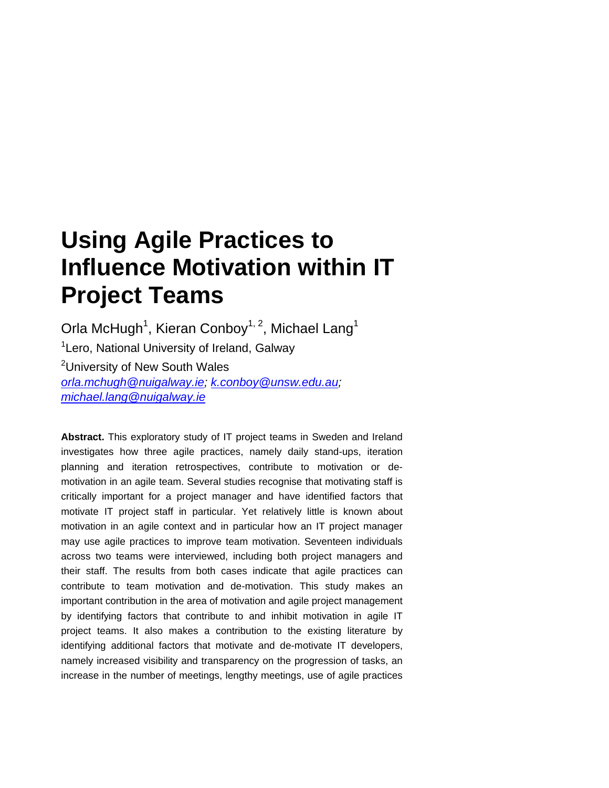# **Using Agile Practices to Influence Motivation within IT Project Teams**

Orla McHugh<sup>1</sup>, Kieran Conboy<sup>1, 2</sup>, Michael Lang<sup>1</sup> <sup>1</sup>Lero, National University of Ireland, Galway <sup>2</sup>University of New South Wales *[orla.mchugh@nuigalway.ie;](mailto:orla.mchugh@nuigalway.ie) [k.conboy@unsw.edu.au;](mailto:k.conboy@unsw.edu.au) [michael.lang@nuigalway.ie](mailto:michael.lang@nuigalway.ie)*

**Abstract.** This exploratory study of IT project teams in Sweden and Ireland investigates how three agile practices, namely daily stand-ups, iteration planning and iteration retrospectives, contribute to motivation or demotivation in an agile team. Several studies recognise that motivating staff is critically important for a project manager and have identified factors that motivate IT project staff in particular. Yet relatively little is known about motivation in an agile context and in particular how an IT project manager may use agile practices to improve team motivation. Seventeen individuals across two teams were interviewed, including both project managers and their staff. The results from both cases indicate that agile practices can contribute to team motivation and de-motivation. This study makes an important contribution in the area of motivation and agile project management by identifying factors that contribute to and inhibit motivation in agile IT project teams. It also makes a contribution to the existing literature by identifying additional factors that motivate and de-motivate IT developers, namely increased visibility and transparency on the progression of tasks, an increase in the number of meetings, lengthy meetings, use of agile practices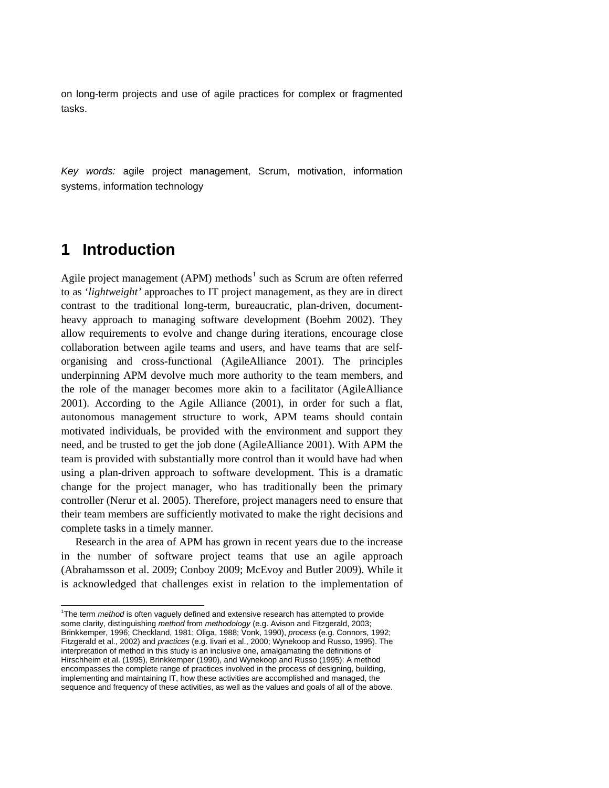on long-term projects and use of agile practices for complex or fragmented tasks.

*Key words:* agile project management, Scrum, motivation, information systems, information technology

## **1 Introduction**

Agile project management (APM) methods<sup>[1](#page-2-0)</sup> such as Scrum are often referred to as '*lightweight'* approaches to IT project management, as they are in direct contrast to the traditional long-term, bureaucratic, plan-driven, documentheavy approach to managing software development (Boehm 2002). They allow requirements to evolve and change during iterations, encourage close collaboration between agile teams and users, and have teams that are selforganising and cross-functional (AgileAlliance 2001). The principles underpinning APM devolve much more authority to the team members, and the role of the manager becomes more akin to a facilitator (AgileAlliance 2001). According to the Agile Alliance (2001), in order for such a flat, autonomous management structure to work, APM teams should contain motivated individuals, be provided with the environment and support they need, and be trusted to get the job done (AgileAlliance 2001). With APM the team is provided with substantially more control than it would have had when using a plan-driven approach to software development. This is a dramatic change for the project manager, who has traditionally been the primary controller (Nerur et al. 2005). Therefore, project managers need to ensure that their team members are sufficiently motivated to make the right decisions and complete tasks in a timely manner.

Research in the area of APM has grown in recent years due to the increase in the number of software project teams that use an agile approach (Abrahamsson et al. 2009; Conboy 2009; McEvoy and Butler 2009). While it is acknowledged that challenges exist in relation to the implementation of

<span id="page-2-0"></span> $\frac{1}{1}$ <sup>1</sup>The term *method* is often vaguely defined and extensive research has attempted to provide some clarity, distinguishing *method* from *methodology* (e.g. Avison and Fitzgerald, 2003; Brinkkemper, 1996; Checkland, 1981; Oliga, 1988; Vonk, 1990), *process* (e.g. Connors, 1992; Fitzgerald et al., 2002) and *practices* (e.g. Iivari et al., 2000; Wynekoop and Russo, 1995). The interpretation of method in this study is an inclusive one, amalgamating the definitions of Hirschheim et al. (1995), Brinkkemper (1990), and Wynekoop and Russo (1995): A method encompasses the complete range of practices involved in the process of designing, building, implementing and maintaining IT, how these activities are accomplished and managed, the sequence and frequency of these activities, as well as the values and goals of all of the above.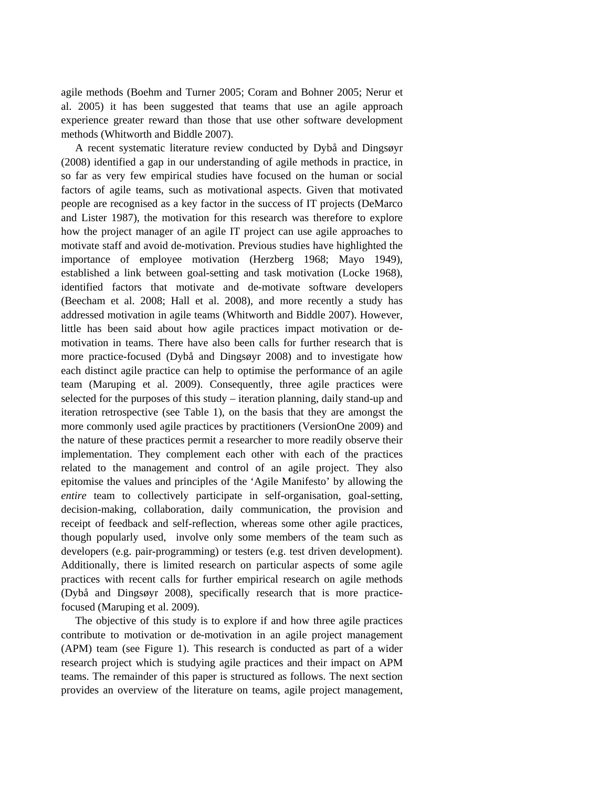agile methods (Boehm and Turner 2005; Coram and Bohner 2005; Nerur et al. 2005) it has been suggested that teams that use an agile approach experience greater reward than those that use other software development methods (Whitworth and Biddle 2007).

A recent systematic literature review conducted by Dybå and Dingsøyr (2008) identified a gap in our understanding of agile methods in practice, in so far as very few empirical studies have focused on the human or social factors of agile teams, such as motivational aspects. Given that motivated people are recognised as a key factor in the success of IT projects (DeMarco and Lister 1987), the motivation for this research was therefore to explore how the project manager of an agile IT project can use agile approaches to motivate staff and avoid de-motivation. Previous studies have highlighted the importance of employee motivation (Herzberg 1968; Mayo 1949), established a link between goal-setting and task motivation (Locke 1968), identified factors that motivate and de-motivate software developers (Beecham et al. 2008; Hall et al. 2008), and more recently a study has addressed motivation in agile teams (Whitworth and Biddle 2007). However, little has been said about how agile practices impact motivation or demotivation in teams. There have also been calls for further research that is more practice-focused (Dybå and Dingsøyr 2008) and to investigate how each distinct agile practice can help to optimise the performance of an agile team (Maruping et al. 2009). Consequently, three agile practices were selected for the purposes of this study – iteration planning, daily stand-up and iteration retrospective (see Table 1), on the basis that they are amongst the more commonly used agile practices by practitioners (VersionOne 2009) and the nature of these practices permit a researcher to more readily observe their implementation. They complement each other with each of the practices related to the management and control of an agile project. They also epitomise the values and principles of the 'Agile Manifesto' by allowing the *entire* team to collectively participate in self-organisation, goal-setting, decision-making, collaboration, daily communication, the provision and receipt of feedback and self-reflection, whereas some other agile practices, though popularly used, involve only some members of the team such as developers (e.g. pair-programming) or testers (e.g. test driven development). Additionally, there is limited research on particular aspects of some agile practices with recent calls for further empirical research on agile methods (Dybå and Dingsøyr 2008), specifically research that is more practicefocused (Maruping et al. 2009).

The objective of this study is to explore if and how three agile practices contribute to motivation or de-motivation in an agile project management (APM) team (see Figure 1). This research is conducted as part of a wider research project which is studying agile practices and their impact on APM teams. The remainder of this paper is structured as follows. The next section provides an overview of the literature on teams, agile project management,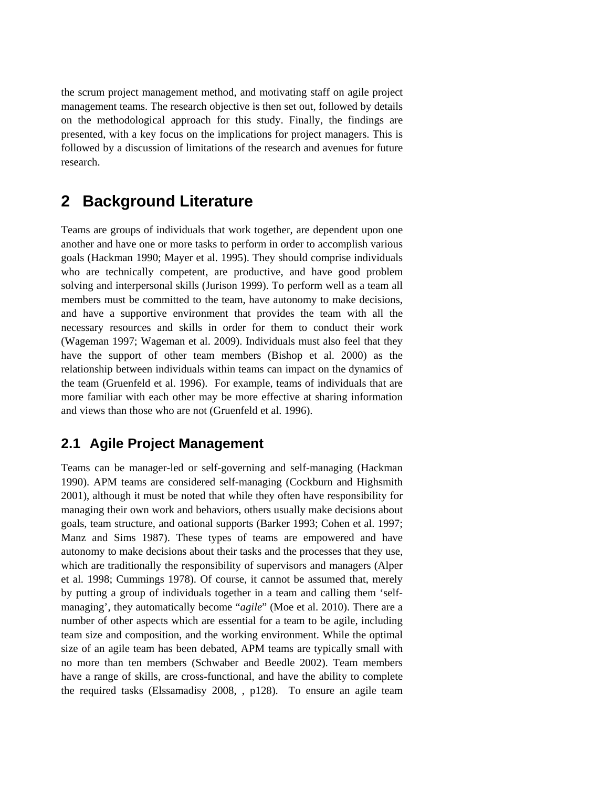the scrum project management method, and motivating staff on agile project management teams. The research objective is then set out, followed by details on the methodological approach for this study. Finally, the findings are presented, with a key focus on the implications for project managers. This is followed by a discussion of limitations of the research and avenues for future research.

## **2 Background Literature**

Teams are groups of individuals that work together, are dependent upon one another and have one or more tasks to perform in order to accomplish various goals (Hackman 1990; Mayer et al. 1995). They should comprise individuals who are technically competent, are productive, and have good problem solving and interpersonal skills (Jurison 1999). To perform well as a team all members must be committed to the team, have autonomy to make decisions, and have a supportive environment that provides the team with all the necessary resources and skills in order for them to conduct their work (Wageman 1997; Wageman et al. 2009). Individuals must also feel that they have the support of other team members (Bishop et al. 2000) as the relationship between individuals within teams can impact on the dynamics of the team (Gruenfeld et al. 1996). For example, teams of individuals that are more familiar with each other may be more effective at sharing information and views than those who are not (Gruenfeld et al. 1996).

## **2.1 Agile Project Management**

Teams can be manager-led or self-governing and self-managing (Hackman 1990). APM teams are considered self-managing (Cockburn and Highsmith 2001), although it must be noted that while they often have responsibility for managing their own work and behaviors, others usually make decisions about goals, team structure, and oational supports (Barker 1993; Cohen et al. 1997; Manz and Sims 1987). These types of teams are empowered and have autonomy to make decisions about their tasks and the processes that they use, which are traditionally the responsibility of supervisors and managers (Alper et al. 1998; Cummings 1978). Of course, it cannot be assumed that, merely by putting a group of individuals together in a team and calling them 'selfmanaging', they automatically become "*agile*" (Moe et al. 2010). There are a number of other aspects which are essential for a team to be agile, including team size and composition, and the working environment. While the optimal size of an agile team has been debated, APM teams are typically small with no more than ten members (Schwaber and Beedle 2002). Team members have a range of skills, are cross-functional, and have the ability to complete the required tasks (Elssamadisy 2008, , p128). To ensure an agile team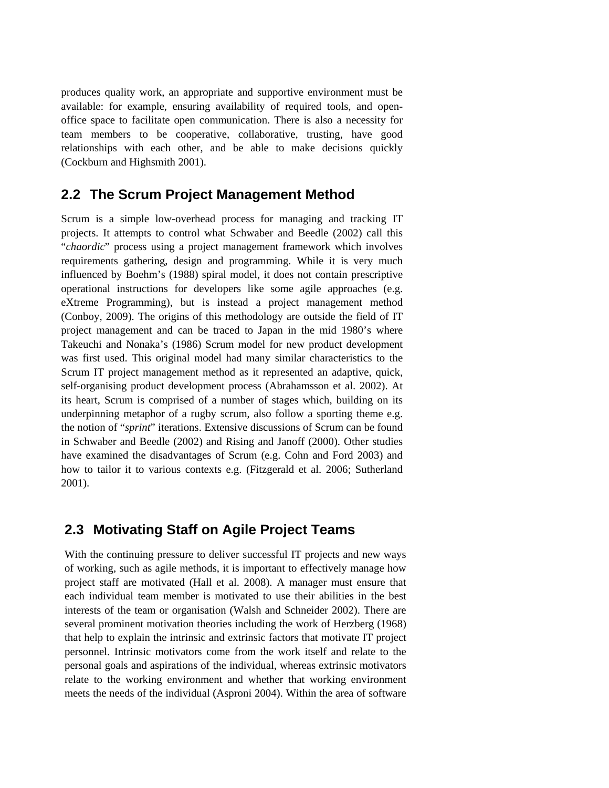produces quality work, an appropriate and supportive environment must be available: for example, ensuring availability of required tools, and openoffice space to facilitate open communication. There is also a necessity for team members to be cooperative, collaborative, trusting, have good relationships with each other, and be able to make decisions quickly (Cockburn and Highsmith 2001).

### **2.2 The Scrum Project Management Method**

Scrum is a simple low-overhead process for managing and tracking IT projects. It attempts to control what Schwaber and Beedle (2002) call this "*chaordic*" process using a project management framework which involves requirements gathering, design and programming. While it is very much influenced by Boehm's (1988) spiral model, it does not contain prescriptive operational instructions for developers like some agile approaches (e.g. eXtreme Programming), but is instead a project management method (Conboy, 2009). The origins of this methodology are outside the field of IT project management and can be traced to Japan in the mid 1980's where Takeuchi and Nonaka's (1986) Scrum model for new product development was first used. This original model had many similar characteristics to the Scrum IT project management method as it represented an adaptive, quick, self-organising product development process (Abrahamsson et al. 2002). At its heart, Scrum is comprised of a number of stages which, building on its underpinning metaphor of a rugby scrum, also follow a sporting theme e.g. the notion of "*sprint*" iterations. Extensive discussions of Scrum can be found in Schwaber and Beedle (2002) and Rising and Janoff (2000). Other studies have examined the disadvantages of Scrum (e.g. Cohn and Ford 2003) and how to tailor it to various contexts e.g. (Fitzgerald et al. 2006; Sutherland 2001).

### **2.3 Motivating Staff on Agile Project Teams**

With the continuing pressure to deliver successful IT projects and new ways of working, such as agile methods, it is important to effectively manage how project staff are motivated (Hall et al. 2008). A manager must ensure that each individual team member is motivated to use their abilities in the best interests of the team or organisation (Walsh and Schneider 2002). There are several prominent motivation theories including the work of Herzberg (1968) that help to explain the intrinsic and extrinsic factors that motivate IT project personnel. Intrinsic motivators come from the work itself and relate to the personal goals and aspirations of the individual, whereas extrinsic motivators relate to the working environment and whether that working environment meets the needs of the individual (Asproni 2004). Within the area of software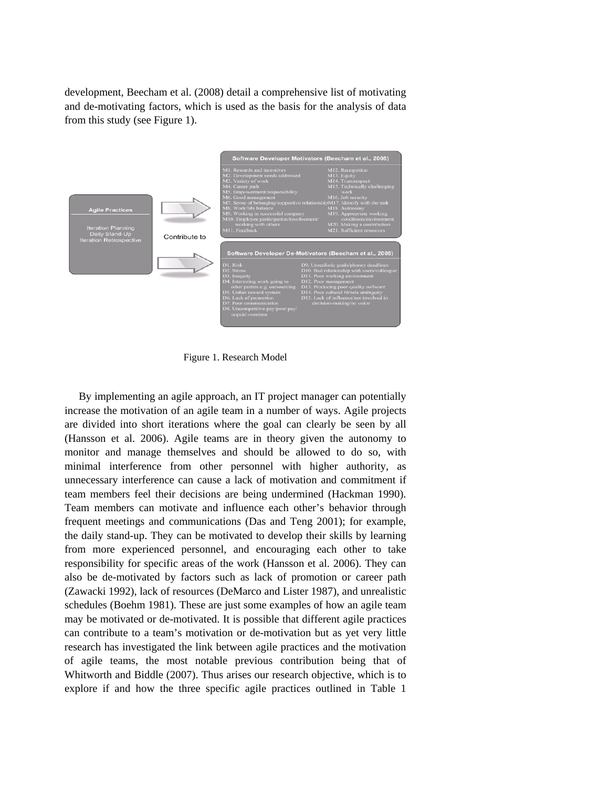development, Beecham et al. (2008) detail a comprehensive list of motivating and de-motivating factors, which is used as the basis for the analysis of data from this study (see Figure 1).



Figure 1. Research Model

By implementing an agile approach, an IT project manager can potentially increase the motivation of an agile team in a number of ways. Agile projects are divided into short iterations where the goal can clearly be seen by all (Hansson et al. 2006). Agile teams are in theory given the autonomy to monitor and manage themselves and should be allowed to do so, with minimal interference from other personnel with higher authority, as unnecessary interference can cause a lack of motivation and commitment if team members feel their decisions are being undermined (Hackman 1990). Team members can motivate and influence each other's behavior through frequent meetings and communications (Das and Teng 2001); for example, the daily stand-up. They can be motivated to develop their skills by learning from more experienced personnel, and encouraging each other to take responsibility for specific areas of the work (Hansson et al. 2006). They can also be de-motivated by factors such as lack of promotion or career path (Zawacki 1992), lack of resources (DeMarco and Lister 1987), and unrealistic schedules (Boehm 1981). These are just some examples of how an agile team may be motivated or de-motivated. It is possible that different agile practices can contribute to a team's motivation or de-motivation but as yet very little research has investigated the link between agile practices and the motivation of agile teams, the most notable previous contribution being that of Whitworth and Biddle (2007). Thus arises our research objective, which is to explore if and how the three specific agile practices outlined in Table 1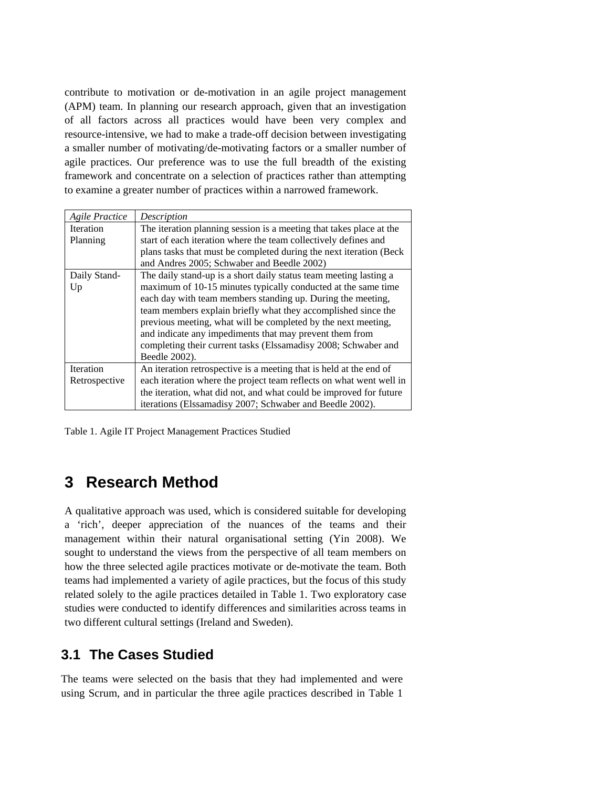contribute to motivation or de-motivation in an agile project management (APM) team. In planning our research approach, given that an investigation of all factors across all practices would have been very complex and resource-intensive, we had to make a trade-off decision between investigating a smaller number of motivating/de-motivating factors or a smaller number of agile practices. Our preference was to use the full breadth of the existing framework and concentrate on a selection of practices rather than attempting to examine a greater number of practices within a narrowed framework.

| <b>Agile Practice</b> | Description                                                         |  |
|-----------------------|---------------------------------------------------------------------|--|
| <b>Iteration</b>      | The iteration planning session is a meeting that takes place at the |  |
| Planning              | start of each iteration where the team collectively defines and     |  |
|                       | plans tasks that must be completed during the next iteration (Beck) |  |
|                       | and Andres 2005; Schwaber and Beedle 2002)                          |  |
| Daily Stand-          | The daily stand-up is a short daily status team meeting lasting a   |  |
| Up                    | maximum of 10-15 minutes typically conducted at the same time       |  |
|                       | each day with team members standing up. During the meeting,         |  |
|                       | team members explain briefly what they accomplished since the       |  |
|                       | previous meeting, what will be completed by the next meeting,       |  |
|                       | and indicate any impediments that may prevent them from             |  |
|                       | completing their current tasks (Elssamadisy 2008; Schwaber and      |  |
|                       | Beedle 2002).                                                       |  |
| Iteration             | An iteration retrospective is a meeting that is held at the end of  |  |
| Retrospective         | each iteration where the project team reflects on what went well in |  |
|                       | the iteration, what did not, and what could be improved for future  |  |
|                       | iterations (Elssamadisy 2007; Schwaber and Beedle 2002).            |  |

Table 1. Agile IT Project Management Practices Studied

## **3 Research Method**

A qualitative approach was used, which is considered suitable for developing a 'rich', deeper appreciation of the nuances of the teams and their management within their natural organisational setting (Yin 2008). We sought to understand the views from the perspective of all team members on how the three selected agile practices motivate or de-motivate the team. Both teams had implemented a variety of agile practices, but the focus of this study related solely to the agile practices detailed in Table 1. Two exploratory case studies were conducted to identify differences and similarities across teams in two different cultural settings (Ireland and Sweden).

## **3.1 The Cases Studied**

The teams were selected on the basis that they had implemented and were using Scrum, and in particular the three agile practices described in Table 1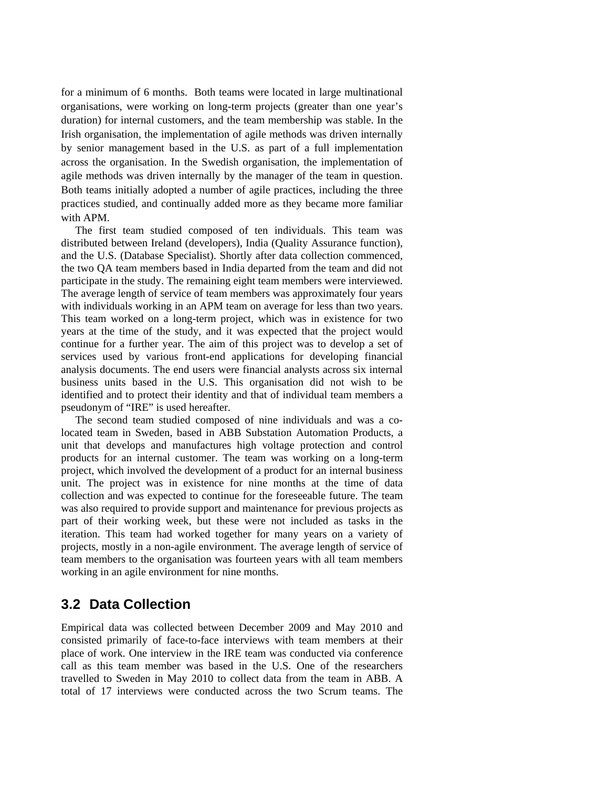for a minimum of 6 months. Both teams were located in large multinational organisations, were working on long-term projects (greater than one year's duration) for internal customers, and the team membership was stable. In the Irish organisation, the implementation of agile methods was driven internally by senior management based in the U.S. as part of a full implementation across the organisation. In the Swedish organisation, the implementation of agile methods was driven internally by the manager of the team in question. Both teams initially adopted a number of agile practices, including the three practices studied, and continually added more as they became more familiar with APM.

The first team studied composed of ten individuals. This team was distributed between Ireland (developers), India (Quality Assurance function), and the U.S. (Database Specialist). Shortly after data collection commenced, the two QA team members based in India departed from the team and did not participate in the study. The remaining eight team members were interviewed. The average length of service of team members was approximately four years with individuals working in an APM team on average for less than two years. This team worked on a long-term project, which was in existence for two years at the time of the study, and it was expected that the project would continue for a further year. The aim of this project was to develop a set of services used by various front-end applications for developing financial analysis documents. The end users were financial analysts across six internal business units based in the U.S. This organisation did not wish to be identified and to protect their identity and that of individual team members a pseudonym of "IRE" is used hereafter.

The second team studied composed of nine individuals and was a colocated team in Sweden, based in ABB Substation Automation Products, a unit that develops and manufactures high voltage protection and control products for an internal customer. The team was working on a long-term project, which involved the development of a product for an internal business unit. The project was in existence for nine months at the time of data collection and was expected to continue for the foreseeable future. The team was also required to provide support and maintenance for previous projects as part of their working week, but these were not included as tasks in the iteration. This team had worked together for many years on a variety of projects, mostly in a non-agile environment. The average length of service of team members to the organisation was fourteen years with all team members working in an agile environment for nine months.

### **3.2 Data Collection**

Empirical data was collected between December 2009 and May 2010 and consisted primarily of face-to-face interviews with team members at their place of work. One interview in the IRE team was conducted via conference call as this team member was based in the U.S. One of the researchers travelled to Sweden in May 2010 to collect data from the team in ABB. A total of 17 interviews were conducted across the two Scrum teams. The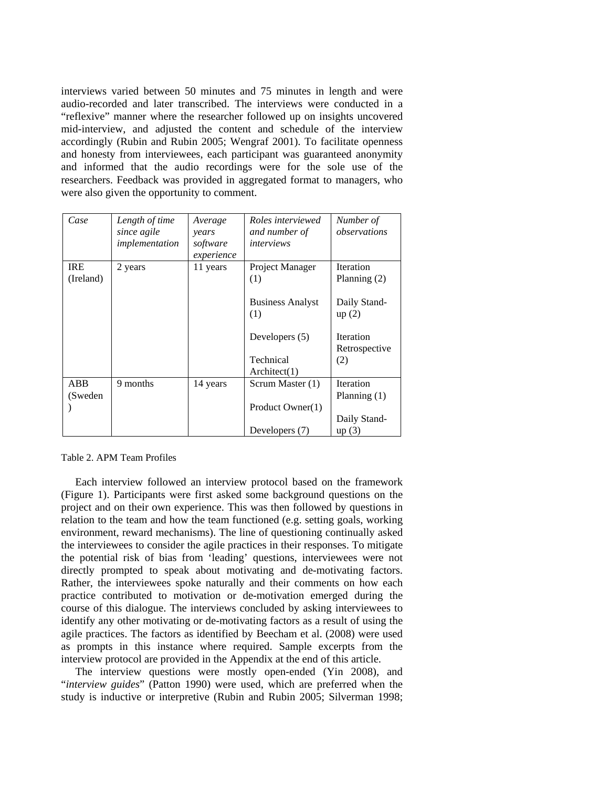interviews varied between 50 minutes and 75 minutes in length and were audio-recorded and later transcribed. The interviews were conducted in a "reflexive" manner where the researcher followed up on insights uncovered mid-interview, and adjusted the content and schedule of the interview accordingly (Rubin and Rubin 2005; Wengraf 2001). To facilitate openness and honesty from interviewees, each participant was guaranteed anonymity and informed that the audio recordings were for the sole use of the researchers. Feedback was provided in aggregated format to managers, who were also given the opportunity to comment.

| Case                    | Length of time<br>since agile<br>implementation | Average<br>years<br>software<br>experience | Roles interviewed<br>and number of<br>interviews | Number of<br>observations          |
|-------------------------|-------------------------------------------------|--------------------------------------------|--------------------------------------------------|------------------------------------|
| <b>IRE</b><br>(Ireland) | 2 years                                         | 11 years                                   | Project Manager<br>(1)                           | <b>Iteration</b><br>Planning $(2)$ |
|                         |                                                 |                                            | <b>Business Analyst</b><br>(1)                   | Daily Stand-<br>up(2)              |
|                         |                                                 |                                            | Developers (5)                                   | <b>Iteration</b><br>Retrospective  |
|                         |                                                 |                                            | Technical<br>Architect(1)                        | (2)                                |
| ABB<br>(Sweden          | 9 months                                        | 14 years                                   | Scrum Master (1)                                 | <b>Iteration</b><br>Planning $(1)$ |
|                         |                                                 |                                            | Product Owner(1)                                 | Daily Stand-                       |
|                         |                                                 |                                            | Developers (7)                                   | up(3)                              |

Table 2. APM Team Profiles

Each interview followed an interview protocol based on the framework (Figure 1). Participants were first asked some background questions on the project and on their own experience. This was then followed by questions in relation to the team and how the team functioned (e.g. setting goals, working environment, reward mechanisms). The line of questioning continually asked the interviewees to consider the agile practices in their responses. To mitigate the potential risk of bias from 'leading' questions, interviewees were not directly prompted to speak about motivating and de-motivating factors. Rather, the interviewees spoke naturally and their comments on how each practice contributed to motivation or de-motivation emerged during the course of this dialogue. The interviews concluded by asking interviewees to identify any other motivating or de-motivating factors as a result of using the agile practices. The factors as identified by Beecham et al. (2008) were used as prompts in this instance where required. Sample excerpts from the interview protocol are provided in the Appendix at the end of this article.

The interview questions were mostly open-ended (Yin 2008), and "*interview guides*" (Patton 1990) were used, which are preferred when the study is inductive or interpretive (Rubin and Rubin 2005; Silverman 1998;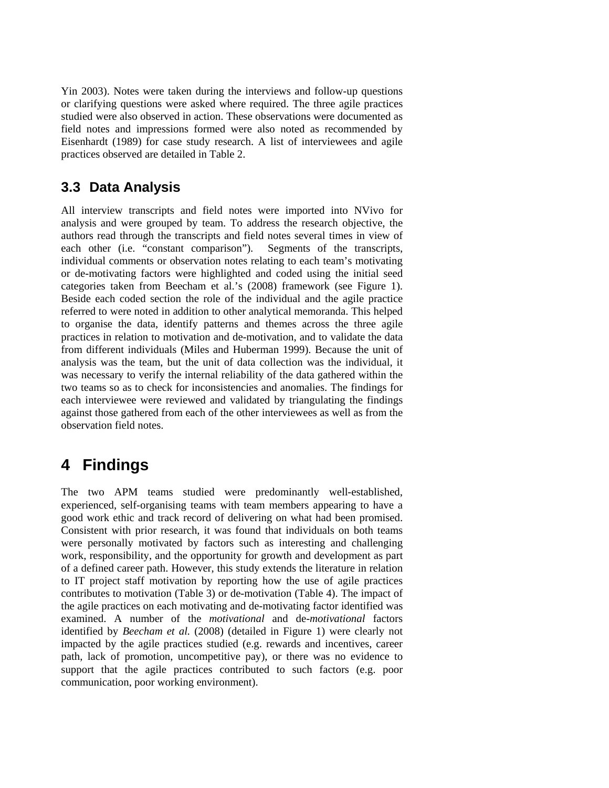Yin 2003). Notes were taken during the interviews and follow-up questions or clarifying questions were asked where required. The three agile practices studied were also observed in action. These observations were documented as field notes and impressions formed were also noted as recommended by Eisenhardt (1989) for case study research. A list of interviewees and agile practices observed are detailed in Table 2.

## **3.3 Data Analysis**

All interview transcripts and field notes were imported into NVivo for analysis and were grouped by team. To address the research objective, the authors read through the transcripts and field notes several times in view of each other (i.e. "constant comparison"). Segments of the transcripts, individual comments or observation notes relating to each team's motivating or de-motivating factors were highlighted and coded using the initial seed categories taken from Beecham et al.'s (2008) framework (see Figure 1). Beside each coded section the role of the individual and the agile practice referred to were noted in addition to other analytical memoranda. This helped to organise the data, identify patterns and themes across the three agile practices in relation to motivation and de-motivation, and to validate the data from different individuals (Miles and Huberman 1999). Because the unit of analysis was the team, but the unit of data collection was the individual, it was necessary to verify the internal reliability of the data gathered within the two teams so as to check for inconsistencies and anomalies. The findings for each interviewee were reviewed and validated by triangulating the findings against those gathered from each of the other interviewees as well as from the observation field notes.

## **4 Findings**

The two APM teams studied were predominantly well-established, experienced, self-organising teams with team members appearing to have a good work ethic and track record of delivering on what had been promised. Consistent with prior research, it was found that individuals on both teams were personally motivated by factors such as interesting and challenging work, responsibility, and the opportunity for growth and development as part of a defined career path. However, this study extends the literature in relation to IT project staff motivation by reporting how the use of agile practices contributes to motivation (Table 3) or de-motivation (Table 4). The impact of the agile practices on each motivating and de-motivating factor identified was examined. A number of the *motivational* and de-*motivational* factors identified by *Beecham et al.* (2008) (detailed in Figure 1) were clearly not impacted by the agile practices studied (e.g. rewards and incentives, career path, lack of promotion, uncompetitive pay), or there was no evidence to support that the agile practices contributed to such factors (e.g. poor communication, poor working environment).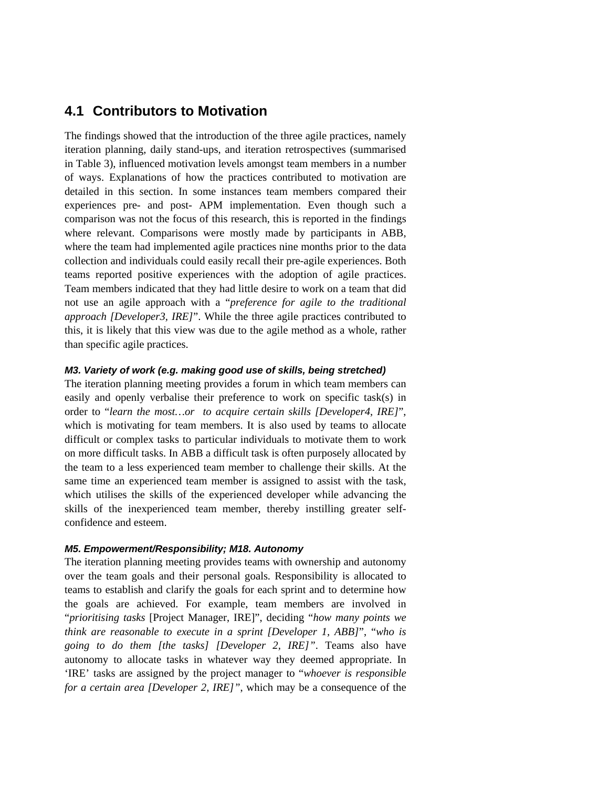## **4.1 Contributors to Motivation**

The findings showed that the introduction of the three agile practices, namely iteration planning, daily stand-ups, and iteration retrospectives (summarised in Table 3), influenced motivation levels amongst team members in a number of ways. Explanations of how the practices contributed to motivation are detailed in this section. In some instances team members compared their experiences pre- and post- APM implementation. Even though such a comparison was not the focus of this research, this is reported in the findings where relevant. Comparisons were mostly made by participants in ABB, where the team had implemented agile practices nine months prior to the data collection and individuals could easily recall their pre-agile experiences. Both teams reported positive experiences with the adoption of agile practices. Team members indicated that they had little desire to work on a team that did not use an agile approach with a "*preference for agile to the traditional approach [Developer3, IRE]*". While the three agile practices contributed to this, it is likely that this view was due to the agile method as a whole, rather than specific agile practices.

#### *M3. Variety of work (e.g. making good use of skills, being stretched)*

The iteration planning meeting provides a forum in which team members can easily and openly verbalise their preference to work on specific task(s) in order to "*learn the most…or to acquire certain skills [Developer4, IRE]*", which is motivating for team members. It is also used by teams to allocate difficult or complex tasks to particular individuals to motivate them to work on more difficult tasks. In ABB a difficult task is often purposely allocated by the team to a less experienced team member to challenge their skills. At the same time an experienced team member is assigned to assist with the task, which utilises the skills of the experienced developer while advancing the skills of the inexperienced team member, thereby instilling greater selfconfidence and esteem.

#### *M5. Empowerment/Responsibility; M18. Autonomy*

The iteration planning meeting provides teams with ownership and autonomy over the team goals and their personal goals. Responsibility is allocated to teams to establish and clarify the goals for each sprint and to determine how the goals are achieved. For example, team members are involved in "*prioritising tasks* [Project Manager, IRE]", deciding "*how many points we think are reasonable to execute in a sprint [Developer 1, ABB]*", "*who is going to do them [the tasks] [Developer 2, IRE]"*. Teams also have autonomy to allocate tasks in whatever way they deemed appropriate. In 'IRE' tasks are assigned by the project manager to "*whoever is responsible for a certain area [Developer 2, IRE]"*, which may be a consequence of the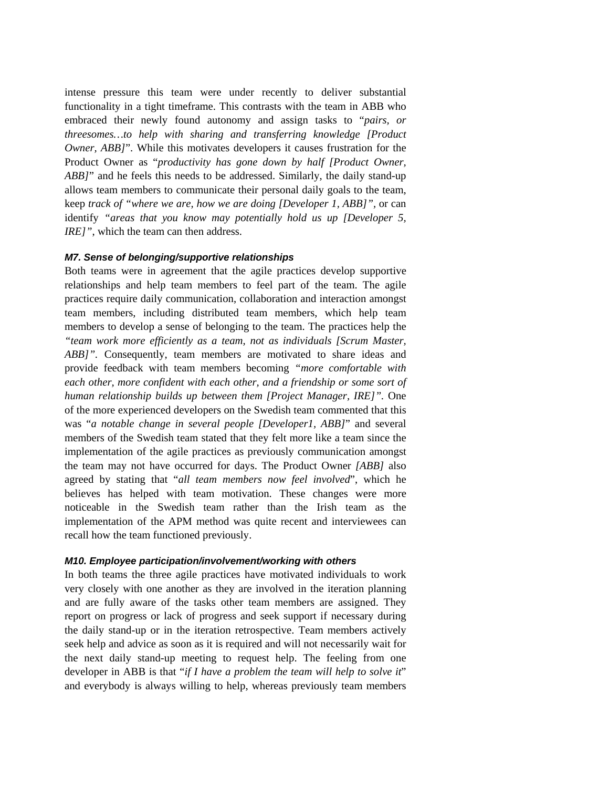intense pressure this team were under recently to deliver substantial functionality in a tight timeframe. This contrasts with the team in ABB who embraced their newly found autonomy and assign tasks to "*pairs, or threesomes…to help with sharing and transferring knowledge [Product Owner, ABB]*". While this motivates developers it causes frustration for the Product Owner as "*productivity has gone down by half [Product Owner, ABB]*" and he feels this needs to be addressed. Similarly, the daily stand-up allows team members to communicate their personal daily goals to the team, keep *track of "where we are, how we are doing [Developer 1, ABB]",* or can identify *"areas that you know may potentially hold us up [Developer 5, IRE]*", which the team can then address.

#### *M7. Sense of belonging/supportive relationships*

Both teams were in agreement that the agile practices develop supportive relationships and help team members to feel part of the team. The agile practices require daily communication, collaboration and interaction amongst team members, including distributed team members, which help team members to develop a sense of belonging to the team. The practices help the *"team work more efficiently as a team, not as individuals [Scrum Master, ABB]"*. Consequently, team members are motivated to share ideas and provide feedback with team members becoming *"more comfortable with each other, more confident with each other, and a friendship or some sort of human relationship builds up between them [Project Manager, IRE]".* One of the more experienced developers on the Swedish team commented that this was "*a notable change in several people [Developer1, ABB]*" and several members of the Swedish team stated that they felt more like a team since the implementation of the agile practices as previously communication amongst the team may not have occurred for days. The Product Owner *[ABB]* also agreed by stating that "*all team members now feel involved*", which he believes has helped with team motivation. These changes were more noticeable in the Swedish team rather than the Irish team as the implementation of the APM method was quite recent and interviewees can recall how the team functioned previously.

#### *M10. Employee participation/involvement/working with others*

In both teams the three agile practices have motivated individuals to work very closely with one another as they are involved in the iteration planning and are fully aware of the tasks other team members are assigned. They report on progress or lack of progress and seek support if necessary during the daily stand-up or in the iteration retrospective. Team members actively seek help and advice as soon as it is required and will not necessarily wait for the next daily stand-up meeting to request help. The feeling from one developer in ABB is that "*if I have a problem the team will help to solve it*" and everybody is always willing to help, whereas previously team members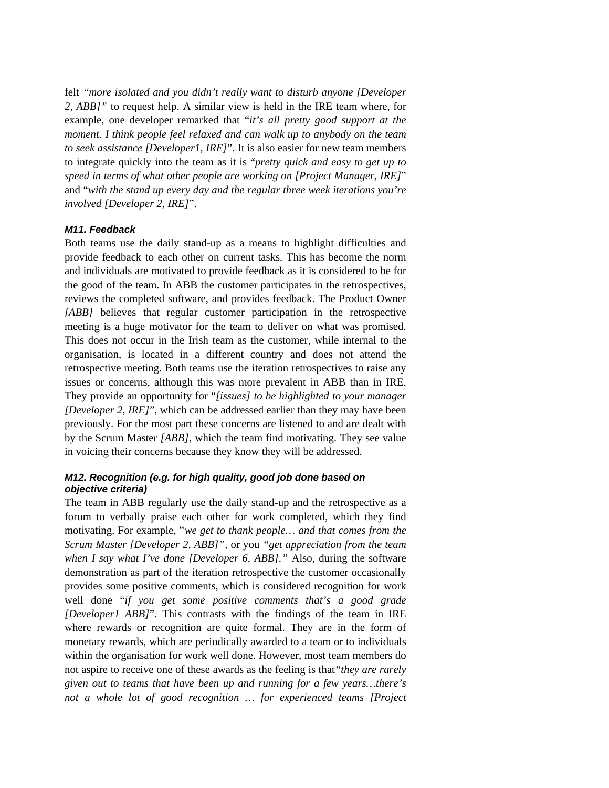felt *"more isolated and you didn't really want to disturb anyone [Developer 2, ABB]"* to request help. A similar view is held in the IRE team where, for example, one developer remarked that "*it's all pretty good support at the moment. I think people feel relaxed and can walk up to anybody on the team to seek assistance [Developer1, IRE]*". It is also easier for new team members to integrate quickly into the team as it is "*pretty quick and easy to get up to speed in terms of what other people are working on [Project Manager, IRE]*" and "*with the stand up every day and the regular three week iterations you're involved [Developer 2, IRE]*".

#### *M11. Feedback*

Both teams use the daily stand-up as a means to highlight difficulties and provide feedback to each other on current tasks. This has become the norm and individuals are motivated to provide feedback as it is considered to be for the good of the team. In ABB the customer participates in the retrospectives, reviews the completed software, and provides feedback. The Product Owner *[ABB]* believes that regular customer participation in the retrospective meeting is a huge motivator for the team to deliver on what was promised. This does not occur in the Irish team as the customer, while internal to the organisation, is located in a different country and does not attend the retrospective meeting. Both teams use the iteration retrospectives to raise any issues or concerns, although this was more prevalent in ABB than in IRE. They provide an opportunity for "*[issues] to be highlighted to your manager [Developer 2, IRE]*", which can be addressed earlier than they may have been previously. For the most part these concerns are listened to and are dealt with by the Scrum Master *[ABB]*, which the team find motivating. They see value in voicing their concerns because they know they will be addressed.

#### *M12. Recognition (e.g. for high quality, good job done based on objective criteria)*

The team in ABB regularly use the daily stand-up and the retrospective as a forum to verbally praise each other for work completed, which they find motivating. For example, "*we get to thank people… and that comes from the Scrum Master [Developer 2, ABB]",* or you *"get appreciation from the team when I say what I've done [Developer 6, ABB]."* Also, during the software demonstration as part of the iteration retrospective the customer occasionally provides some positive comments, which is considered recognition for work well done "*if you get some positive comments that's a good grade [Developer1 ABB]*". This contrasts with the findings of the team in IRE where rewards or recognition are quite formal. They are in the form of monetary rewards, which are periodically awarded to a team or to individuals within the organisation for work well done. However, most team members do not aspire to receive one of these awards as the feeling is that*"they are rarely given out to teams that have been up and running for a few years…there's not a whole lot of good recognition … for experienced teams [Project*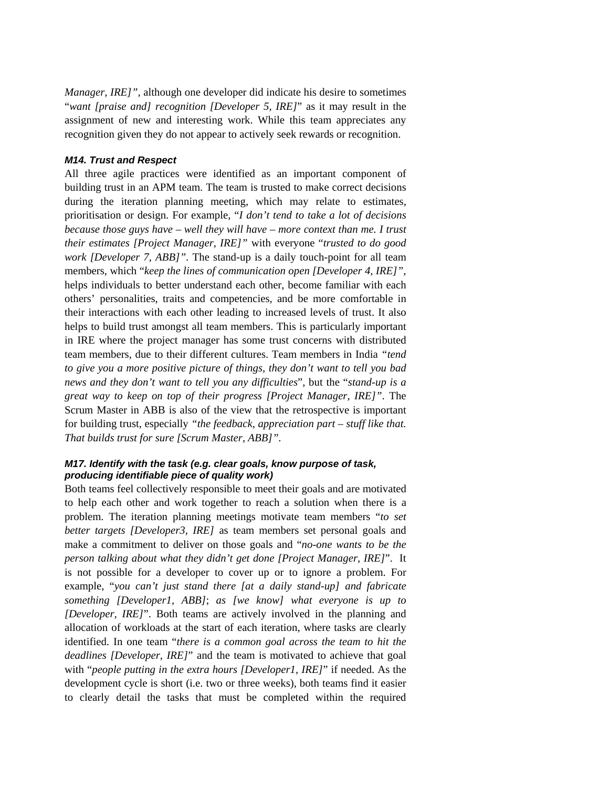*Manager, IRE]",* although one developer did indicate his desire to sometimes "*want [praise and] recognition [Developer 5, IRE]*" as it may result in the assignment of new and interesting work. While this team appreciates any recognition given they do not appear to actively seek rewards or recognition.

#### *M14. Trust and Respect*

All three agile practices were identified as an important component of building trust in an APM team. The team is trusted to make correct decisions during the iteration planning meeting, which may relate to estimates, prioritisation or design. For example, "*I don't tend to take a lot of decisions because those guys have – well they will have – more context than me. I trust their estimates [Project Manager, IRE]"* with everyone "*trusted to do good work [Developer 7, ABB]".* The stand-up is a daily touch-point for all team members, which "*keep the lines of communication open [Developer 4, IRE]"*, helps individuals to better understand each other, become familiar with each others' personalities, traits and competencies, and be more comfortable in their interactions with each other leading to increased levels of trust. It also helps to build trust amongst all team members. This is particularly important in IRE where the project manager has some trust concerns with distributed team members, due to their different cultures. Team members in India *"tend to give you a more positive picture of things, they don't want to tell you bad news and they don't want to tell you any difficulties*", but the "*stand-up is a great way to keep on top of their progress [Project Manager, IRE]"*. The Scrum Master in ABB is also of the view that the retrospective is important for building trust, especially *"the feedback, appreciation part – stuff like that. That builds trust for sure [Scrum Master, ABB]".*

#### *M17. Identify with the task (e.g. clear goals, know purpose of task, producing identifiable piece of quality work)*

Both teams feel collectively responsible to meet their goals and are motivated to help each other and work together to reach a solution when there is a problem. The iteration planning meetings motivate team members "*to set better targets [Developer3, IRE]* as team members set personal goals and make a commitment to deliver on those goals and "*no-one wants to be the person talking about what they didn't get done [Project Manager, IRE]*". It is not possible for a developer to cover up or to ignore a problem. For example, "*you can't just stand there [at a daily stand-up] and fabricate something [Developer1, ABB]*; *as [we know] what everyone is up to [Developer, IRE]*". Both teams are actively involved in the planning and allocation of workloads at the start of each iteration, where tasks are clearly identified. In one team "*there is a common goal across the team to hit the deadlines [Developer, IRE]*" and the team is motivated to achieve that goal with "*people putting in the extra hours [Developer1, IRE]*" if needed. As the development cycle is short (i.e. two or three weeks), both teams find it easier to clearly detail the tasks that must be completed within the required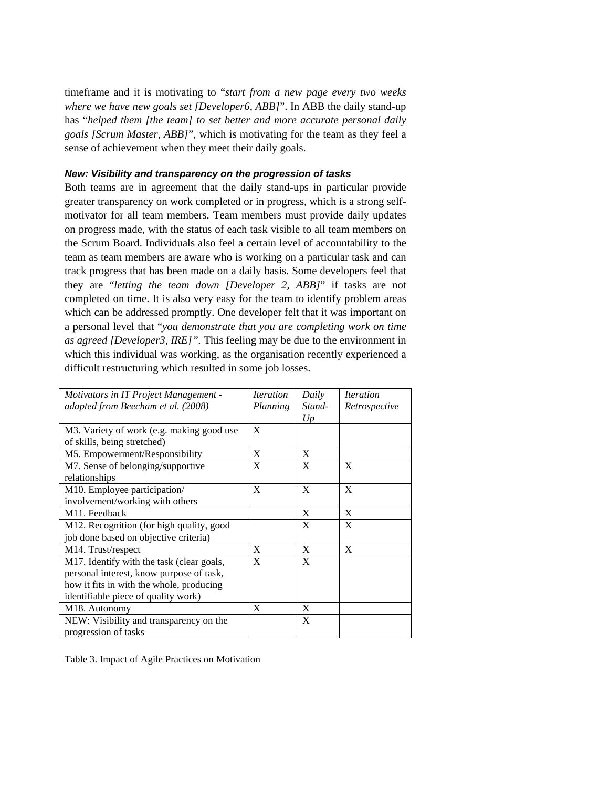timeframe and it is motivating to "*start from a new page every two weeks where we have new goals set [Developer6, ABB]*". In ABB the daily stand-up has "*helped them [the team] to set better and more accurate personal daily goals [Scrum Master, ABB]*", which is motivating for the team as they feel a sense of achievement when they meet their daily goals.

#### *New: Visibility and transparency on the progression of tasks*

Both teams are in agreement that the daily stand-ups in particular provide greater transparency on work completed or in progress, which is a strong selfmotivator for all team members. Team members must provide daily updates on progress made, with the status of each task visible to all team members on the Scrum Board. Individuals also feel a certain level of accountability to the team as team members are aware who is working on a particular task and can track progress that has been made on a daily basis. Some developers feel that they are "*letting the team down [Developer 2, ABB]*" if tasks are not completed on time. It is also very easy for the team to identify problem areas which can be addressed promptly. One developer felt that it was important on a personal level that "*you demonstrate that you are completing work on time as agreed [Developer3, IRE]".* This feeling may be due to the environment in which this individual was working, as the organisation recently experienced a difficult restructuring which resulted in some job losses.

| Motivators in IT Project Management -     | <i><u><b>Iteration</b></u></i> | Daily  | <i><u><b>Iteration</b></u></i> |
|-------------------------------------------|--------------------------------|--------|--------------------------------|
| adapted from Beecham et al. (2008)        | Planning                       | Stand- | Retrospective                  |
|                                           |                                | U p    |                                |
| M3. Variety of work (e.g. making good use | X                              |        |                                |
| of skills, being stretched)               |                                |        |                                |
| M5. Empowerment/Responsibility            | X                              | X      |                                |
| M7. Sense of belonging/supportive         | X                              | X      | X                              |
| relationships                             |                                |        |                                |
| M10. Employee participation/              | X                              | X      | X                              |
| involvement/working with others           |                                |        |                                |
| M11. Feedback                             |                                | X      | X                              |
| M12. Recognition (for high quality, good  |                                | X      | X                              |
| job done based on objective criteria)     |                                |        |                                |
| M <sub>14</sub> . Trust/respect           | X                              | X      | X                              |
| M17. Identify with the task (clear goals, | X                              | X      |                                |
| personal interest, know purpose of task,  |                                |        |                                |
| how it fits in with the whole, producing  |                                |        |                                |
| identifiable piece of quality work)       |                                |        |                                |
| M <sub>18</sub> . Autonomy                | X                              | X      |                                |
| NEW: Visibility and transparency on the   |                                | X      |                                |
| progression of tasks                      |                                |        |                                |

Table 3. Impact of Agile Practices on Motivation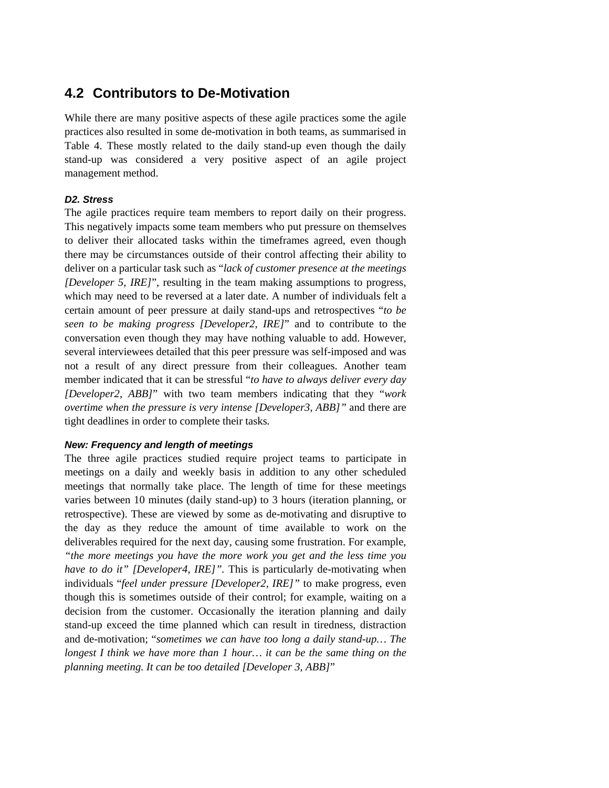## **4.2 Contributors to De-Motivation**

While there are many positive aspects of these agile practices some the agile practices also resulted in some de-motivation in both teams, as summarised in Table 4. These mostly related to the daily stand-up even though the daily stand-up was considered a very positive aspect of an agile project management method.

#### *D2. Stress*

The agile practices require team members to report daily on their progress. This negatively impacts some team members who put pressure on themselves to deliver their allocated tasks within the timeframes agreed, even though there may be circumstances outside of their control affecting their ability to deliver on a particular task such as "*lack of customer presence at the meetings [Developer 5, IRE]*", resulting in the team making assumptions to progress, which may need to be reversed at a later date. A number of individuals felt a certain amount of peer pressure at daily stand-ups and retrospectives "*to be seen to be making progress [Developer2, IRE]*" and to contribute to the conversation even though they may have nothing valuable to add. However, several interviewees detailed that this peer pressure was self-imposed and was not a result of any direct pressure from their colleagues. Another team member indicated that it can be stressful "*to have to always deliver every day [Developer2, ABB]*" with two team members indicating that they "*work overtime when the pressure is very intense [Developer3, ABB]"* and there are tight deadlines in order to complete their tasks*.* 

#### *New: Frequency and length of meetings*

The three agile practices studied require project teams to participate in meetings on a daily and weekly basis in addition to any other scheduled meetings that normally take place. The length of time for these meetings varies between 10 minutes (daily stand-up) to 3 hours (iteration planning, or retrospective). These are viewed by some as de-motivating and disruptive to the day as they reduce the amount of time available to work on the deliverables required for the next day, causing some frustration. For example, *"the more meetings you have the more work you get and the less time you have to do it" [Developer4, IRE]".* This is particularly de-motivating when individuals "*feel under pressure [Developer2, IRE]"* to make progress, even though this is sometimes outside of their control; for example, waiting on a decision from the customer. Occasionally the iteration planning and daily stand-up exceed the time planned which can result in tiredness, distraction and de-motivation; "*sometimes we can have too long a daily stand-up… The longest I think we have more than 1 hour... it can be the same thing on the planning meeting. It can be too detailed [Developer 3, ABB]*"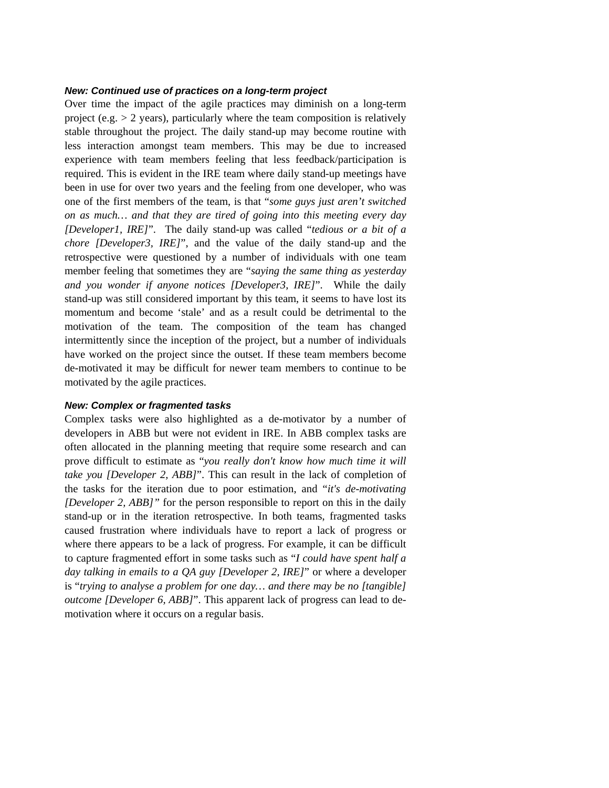#### *New: Continued use of practices on a long-term project*

Over time the impact of the agile practices may diminish on a long-term project (e.g.  $> 2$  years), particularly where the team composition is relatively stable throughout the project. The daily stand-up may become routine with less interaction amongst team members. This may be due to increased experience with team members feeling that less feedback/participation is required. This is evident in the IRE team where daily stand-up meetings have been in use for over two years and the feeling from one developer, who was one of the first members of the team, is that "*some guys just aren't switched on as much… and that they are tired of going into this meeting every day [Developer1, IRE]*". The daily stand-up was called "*tedious or a bit of a chore [Developer3, IRE]*", and the value of the daily stand-up and the retrospective were questioned by a number of individuals with one team member feeling that sometimes they are "*saying the same thing as yesterday and you wonder if anyone notices [Developer3, IRE]*". While the daily stand-up was still considered important by this team, it seems to have lost its momentum and become 'stale' and as a result could be detrimental to the motivation of the team. The composition of the team has changed intermittently since the inception of the project, but a number of individuals have worked on the project since the outset. If these team members become de-motivated it may be difficult for newer team members to continue to be motivated by the agile practices.

#### *New: Complex or fragmented tasks*

Complex tasks were also highlighted as a de-motivator by a number of developers in ABB but were not evident in IRE. In ABB complex tasks are often allocated in the planning meeting that require some research and can prove difficult to estimate as "*you really don't know how much time it will take you [Developer 2, ABB]*". This can result in the lack of completion of the tasks for the iteration due to poor estimation, and "*it's de-motivating [Developer 2, ABB]"* for the person responsible to report on this in the daily stand-up or in the iteration retrospective. In both teams, fragmented tasks caused frustration where individuals have to report a lack of progress or where there appears to be a lack of progress. For example, it can be difficult to capture fragmented effort in some tasks such as "*I could have spent half a day talking in emails to a QA guy [Developer 2, IRE]*" or where a developer is "*trying to analyse a problem for one day… and there may be no [tangible] outcome [Developer 6, ABB]*". This apparent lack of progress can lead to demotivation where it occurs on a regular basis.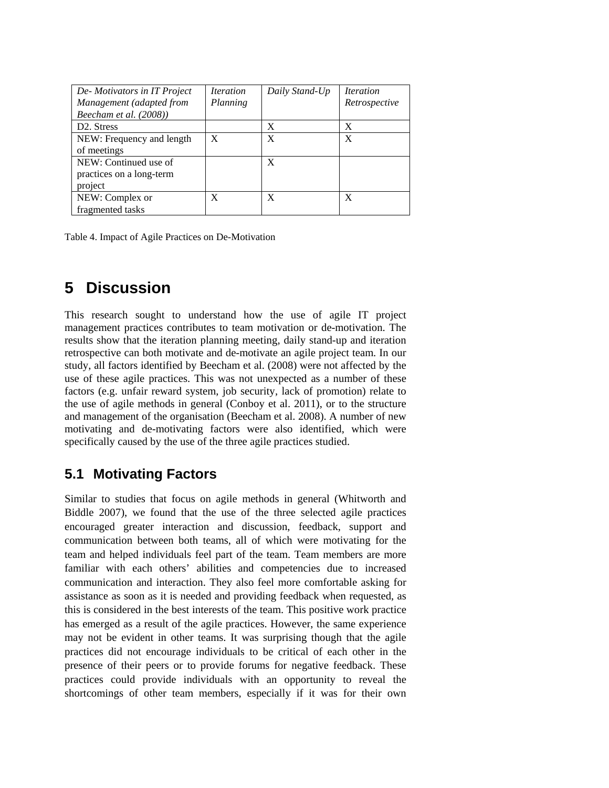| De-Motivators in IT Project | <i><u><b>Iteration</b></u></i> | Daily Stand-Up | <i><u><b>Iteration</b></u></i> |
|-----------------------------|--------------------------------|----------------|--------------------------------|
| Management (adapted from    | Planning                       |                | Retrospective                  |
| Beecham et al. (2008))      |                                |                |                                |
| D <sub>2</sub> . Stress     |                                | X              | X                              |
| NEW: Frequency and length   | X                              | X              | X                              |
| of meetings                 |                                |                |                                |
| NEW: Continued use of       |                                | X              |                                |
| practices on a long-term    |                                |                |                                |
| project                     |                                |                |                                |
| NEW: Complex or             | X                              | X              | X                              |
| fragmented tasks            |                                |                |                                |

Table 4. Impact of Agile Practices on De-Motivation

## **5 Discussion**

This research sought to understand how the use of agile IT project management practices contributes to team motivation or de-motivation. The results show that the iteration planning meeting, daily stand-up and iteration retrospective can both motivate and de-motivate an agile project team. In our study, all factors identified by Beecham et al. (2008) were not affected by the use of these agile practices. This was not unexpected as a number of these factors (e.g. unfair reward system, job security, lack of promotion) relate to the use of agile methods in general (Conboy et al. 2011), or to the structure and management of the organisation (Beecham et al. 2008). A number of new motivating and de-motivating factors were also identified, which were specifically caused by the use of the three agile practices studied.

## **5.1 Motivating Factors**

Similar to studies that focus on agile methods in general (Whitworth and Biddle 2007), we found that the use of the three selected agile practices encouraged greater interaction and discussion, feedback, support and communication between both teams, all of which were motivating for the team and helped individuals feel part of the team. Team members are more familiar with each others' abilities and competencies due to increased communication and interaction. They also feel more comfortable asking for assistance as soon as it is needed and providing feedback when requested, as this is considered in the best interests of the team. This positive work practice has emerged as a result of the agile practices. However, the same experience may not be evident in other teams. It was surprising though that the agile practices did not encourage individuals to be critical of each other in the presence of their peers or to provide forums for negative feedback. These practices could provide individuals with an opportunity to reveal the shortcomings of other team members, especially if it was for their own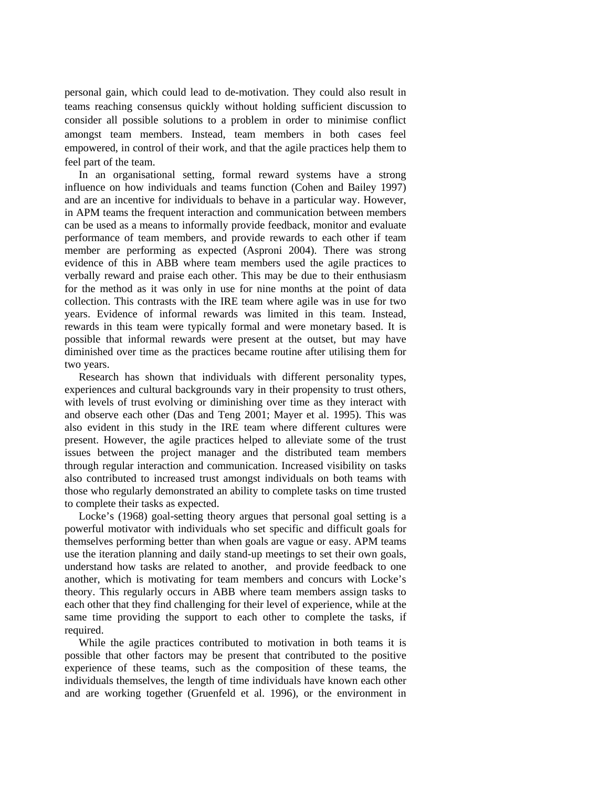personal gain, which could lead to de-motivation. They could also result in teams reaching consensus quickly without holding sufficient discussion to consider all possible solutions to a problem in order to minimise conflict amongst team members. Instead, team members in both cases feel empowered, in control of their work, and that the agile practices help them to feel part of the team.

In an organisational setting, formal reward systems have a strong influence on how individuals and teams function (Cohen and Bailey 1997) and are an incentive for individuals to behave in a particular way. However, in APM teams the frequent interaction and communication between members can be used as a means to informally provide feedback, monitor and evaluate performance of team members, and provide rewards to each other if team member are performing as expected (Asproni 2004). There was strong evidence of this in ABB where team members used the agile practices to verbally reward and praise each other. This may be due to their enthusiasm for the method as it was only in use for nine months at the point of data collection. This contrasts with the IRE team where agile was in use for two years. Evidence of informal rewards was limited in this team. Instead, rewards in this team were typically formal and were monetary based. It is possible that informal rewards were present at the outset, but may have diminished over time as the practices became routine after utilising them for two years.

Research has shown that individuals with different personality types, experiences and cultural backgrounds vary in their propensity to trust others, with levels of trust evolving or diminishing over time as they interact with and observe each other (Das and Teng 2001; Mayer et al. 1995). This was also evident in this study in the IRE team where different cultures were present. However, the agile practices helped to alleviate some of the trust issues between the project manager and the distributed team members through regular interaction and communication. Increased visibility on tasks also contributed to increased trust amongst individuals on both teams with those who regularly demonstrated an ability to complete tasks on time trusted to complete their tasks as expected.

Locke's (1968) goal-setting theory argues that personal goal setting is a powerful motivator with individuals who set specific and difficult goals for themselves performing better than when goals are vague or easy. APM teams use the iteration planning and daily stand-up meetings to set their own goals, understand how tasks are related to another, and provide feedback to one another, which is motivating for team members and concurs with Locke's theory. This regularly occurs in ABB where team members assign tasks to each other that they find challenging for their level of experience, while at the same time providing the support to each other to complete the tasks, if required.

While the agile practices contributed to motivation in both teams it is possible that other factors may be present that contributed to the positive experience of these teams, such as the composition of these teams, the individuals themselves, the length of time individuals have known each other and are working together (Gruenfeld et al. 1996), or the environment in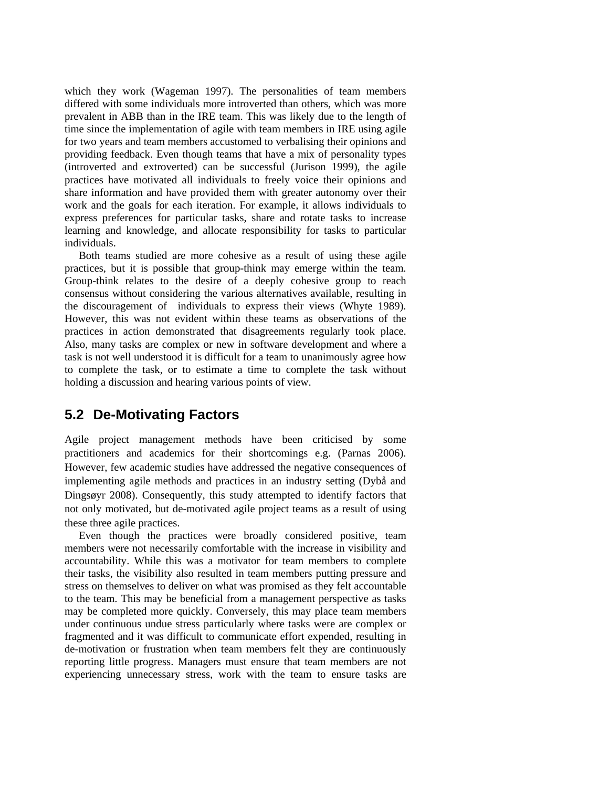which they work (Wageman 1997). The personalities of team members differed with some individuals more introverted than others, which was more prevalent in ABB than in the IRE team. This was likely due to the length of time since the implementation of agile with team members in IRE using agile for two years and team members accustomed to verbalising their opinions and providing feedback. Even though teams that have a mix of personality types (introverted and extroverted) can be successful (Jurison 1999), the agile practices have motivated all individuals to freely voice their opinions and share information and have provided them with greater autonomy over their work and the goals for each iteration. For example, it allows individuals to express preferences for particular tasks, share and rotate tasks to increase learning and knowledge, and allocate responsibility for tasks to particular individuals.

Both teams studied are more cohesive as a result of using these agile practices, but it is possible that group-think may emerge within the team. Group-think relates to the desire of a deeply cohesive group to reach consensus without considering the various alternatives available, resulting in the discouragement of individuals to express their views (Whyte 1989). However, this was not evident within these teams as observations of the practices in action demonstrated that disagreements regularly took place. Also, many tasks are complex or new in software development and where a task is not well understood it is difficult for a team to unanimously agree how to complete the task, or to estimate a time to complete the task without holding a discussion and hearing various points of view.

### **5.2 De-Motivating Factors**

Agile project management methods have been criticised by some practitioners and academics for their shortcomings e.g. (Parnas 2006). However, few academic studies have addressed the negative consequences of implementing agile methods and practices in an industry setting (Dybå and Dingsøyr 2008). Consequently, this study attempted to identify factors that not only motivated, but de-motivated agile project teams as a result of using these three agile practices.

Even though the practices were broadly considered positive, team members were not necessarily comfortable with the increase in visibility and accountability. While this was a motivator for team members to complete their tasks, the visibility also resulted in team members putting pressure and stress on themselves to deliver on what was promised as they felt accountable to the team. This may be beneficial from a management perspective as tasks may be completed more quickly. Conversely, this may place team members under continuous undue stress particularly where tasks were are complex or fragmented and it was difficult to communicate effort expended, resulting in de-motivation or frustration when team members felt they are continuously reporting little progress. Managers must ensure that team members are not experiencing unnecessary stress, work with the team to ensure tasks are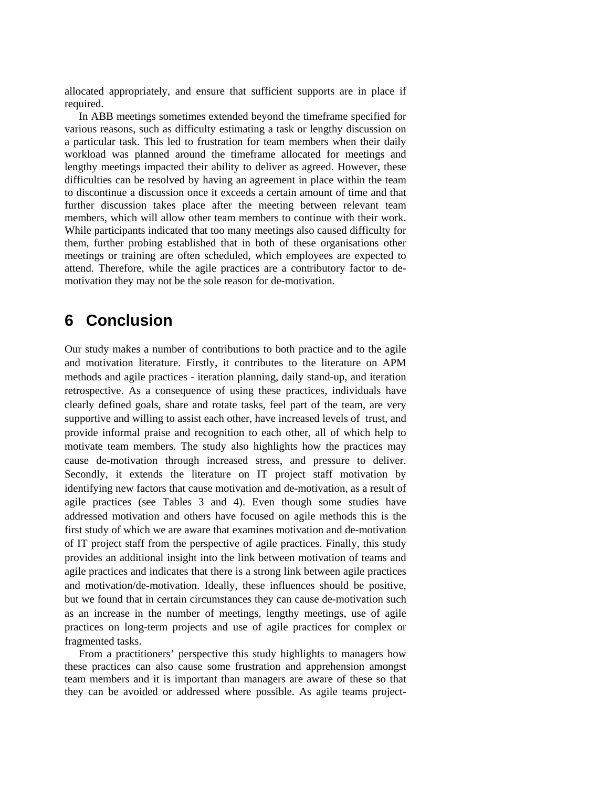allocated appropriately, and ensure that sufficient supports are in place if required.

In ABB meetings sometimes extended beyond the timeframe specified for various reasons, such as difficulty estimating a task or lengthy discussion on a particular task. This led to frustration for team members when their daily workload was planned around the timeframe allocated for meetings and lengthy meetings impacted their ability to deliver as agreed. However, these difficulties can be resolved by having an agreement in place within the team to discontinue a discussion once it exceeds a certain amount of time and that further discussion takes place after the meeting between relevant team members, which will allow other team members to continue with their work. While participants indicated that too many meetings also caused difficulty for them, further probing established that in both of these organisations other meetings or training are often scheduled, which employees are expected to attend. Therefore, while the agile practices are a contributory factor to demotivation they may not be the sole reason for de-motivation.

## **6 Conclusion**

Our study makes a number of contributions to both practice and to the agile and motivation literature. Firstly, it contributes to the literature on APM methods and agile practices - iteration planning, daily stand-up, and iteration retrospective. As a consequence of using these practices, individuals have clearly defined goals, share and rotate tasks, feel part of the team, are very supportive and willing to assist each other, have increased levels of trust, and provide informal praise and recognition to each other, all of which help to motivate team members. The study also highlights how the practices may cause de-motivation through increased stress, and pressure to deliver. Secondly, it extends the literature on IT project staff motivation by identifying new factors that cause motivation and de-motivation, as a result of agile practices (see Tables 3 and 4). Even though some studies have addressed motivation and others have focused on agile methods this is the first study of which we are aware that examines motivation and de-motivation of IT project staff from the perspective of agile practices. Finally, this study provides an additional insight into the link between motivation of teams and agile practices and indicates that there is a strong link between agile practices and motivation/de-motivation. Ideally, these influences should be positive, but we found that in certain circumstances they can cause de-motivation such as an increase in the number of meetings, lengthy meetings, use of agile practices on long-term projects and use of agile practices for complex or fragmented tasks.

From a practitioners' perspective this study highlights to managers how these practices can also cause some frustration and apprehension amongst team members and it is important than managers are aware of these so that they can be avoided or addressed where possible. As agile teams project-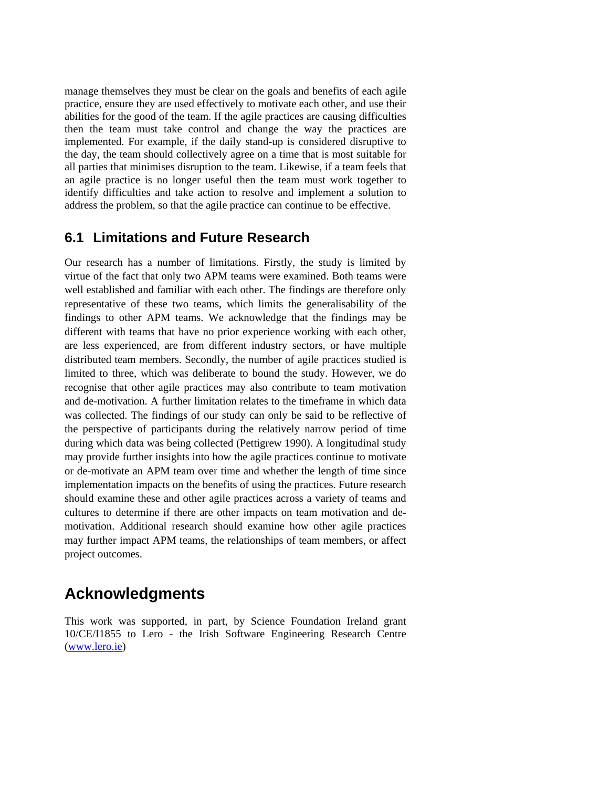manage themselves they must be clear on the goals and benefits of each agile practice, ensure they are used effectively to motivate each other, and use their abilities for the good of the team. If the agile practices are causing difficulties then the team must take control and change the way the practices are implemented. For example, if the daily stand-up is considered disruptive to the day, the team should collectively agree on a time that is most suitable for all parties that minimises disruption to the team. Likewise, if a team feels that an agile practice is no longer useful then the team must work together to identify difficulties and take action to resolve and implement a solution to address the problem, so that the agile practice can continue to be effective.

### **6.1 Limitations and Future Research**

Our research has a number of limitations. Firstly, the study is limited by virtue of the fact that only two APM teams were examined. Both teams were well established and familiar with each other. The findings are therefore only representative of these two teams, which limits the generalisability of the findings to other APM teams. We acknowledge that the findings may be different with teams that have no prior experience working with each other, are less experienced, are from different industry sectors, or have multiple distributed team members. Secondly, the number of agile practices studied is limited to three, which was deliberate to bound the study. However, we do recognise that other agile practices may also contribute to team motivation and de-motivation. A further limitation relates to the timeframe in which data was collected. The findings of our study can only be said to be reflective of the perspective of participants during the relatively narrow period of time during which data was being collected (Pettigrew 1990). A longitudinal study may provide further insights into how the agile practices continue to motivate or de-motivate an APM team over time and whether the length of time since implementation impacts on the benefits of using the practices. Future research should examine these and other agile practices across a variety of teams and cultures to determine if there are other impacts on team motivation and demotivation. Additional research should examine how other agile practices may further impact APM teams, the relationships of team members, or affect project outcomes.

## **Acknowledgments**

This work was supported, in part, by Science Foundation Ireland grant 10/CE/I1855 to Lero - the Irish Software Engineering Research Centre [\(www.lero.ie\)](http://www.lero.ie/)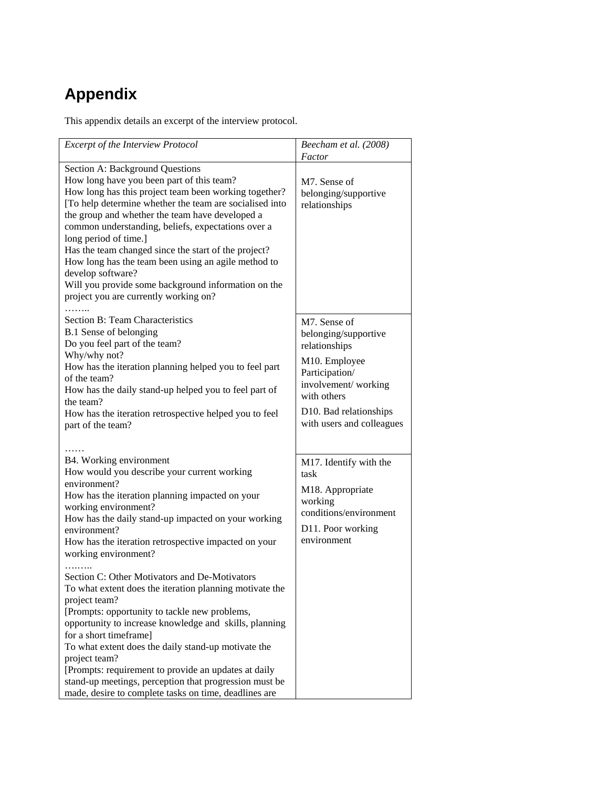## **Appendix**

This appendix details an excerpt of the interview protocol.

| <b>Excerpt of the Interview Protocol</b>                                                                                                                                                                                                                                                                                                                                                                                                                                                                                                                               | Beecham et al. (2008)<br>Factor                                                                                                                                                       |
|------------------------------------------------------------------------------------------------------------------------------------------------------------------------------------------------------------------------------------------------------------------------------------------------------------------------------------------------------------------------------------------------------------------------------------------------------------------------------------------------------------------------------------------------------------------------|---------------------------------------------------------------------------------------------------------------------------------------------------------------------------------------|
| Section A: Background Questions<br>How long have you been part of this team?<br>How long has this project team been working together?<br>[To help determine whether the team are socialised into<br>the group and whether the team have developed a<br>common understanding, beliefs, expectations over a<br>long period of time.]<br>Has the team changed since the start of the project?<br>How long has the team been using an agile method to<br>develop software?<br>Will you provide some background information on the<br>project you are currently working on? | M7. Sense of<br>belonging/supportive<br>relationships                                                                                                                                 |
| Section B: Team Characteristics<br>B.1 Sense of belonging<br>Do you feel part of the team?<br>Why/why not?<br>How has the iteration planning helped you to feel part<br>of the team?<br>How has the daily stand-up helped you to feel part of<br>the team?<br>How has the iteration retrospective helped you to feel<br>part of the team?                                                                                                                                                                                                                              | M7. Sense of<br>belonging/supportive<br>relationships<br>M10. Employee<br>Participation/<br>involvement/working<br>with others<br>D10. Bad relationships<br>with users and colleagues |
| B4. Working environment<br>How would you describe your current working<br>environment?<br>How has the iteration planning impacted on your<br>working environment?<br>How has the daily stand-up impacted on your working<br>environment?<br>How has the iteration retrospective impacted on your<br>working environment?                                                                                                                                                                                                                                               | M17. Identify with the<br>task<br>M18. Appropriate<br>working<br>conditions/environment<br>D11. Poor working<br>environment                                                           |
| Section C: Other Motivators and De-Motivators<br>To what extent does the iteration planning motivate the<br>project team?<br>[Prompts: opportunity to tackle new problems,<br>opportunity to increase knowledge and skills, planning<br>for a short timeframe]<br>To what extent does the daily stand-up motivate the<br>project team?<br>[Prompts: requirement to provide an updates at daily<br>stand-up meetings, perception that progression must be<br>made, desire to complete tasks on time, deadlines are                                                      |                                                                                                                                                                                       |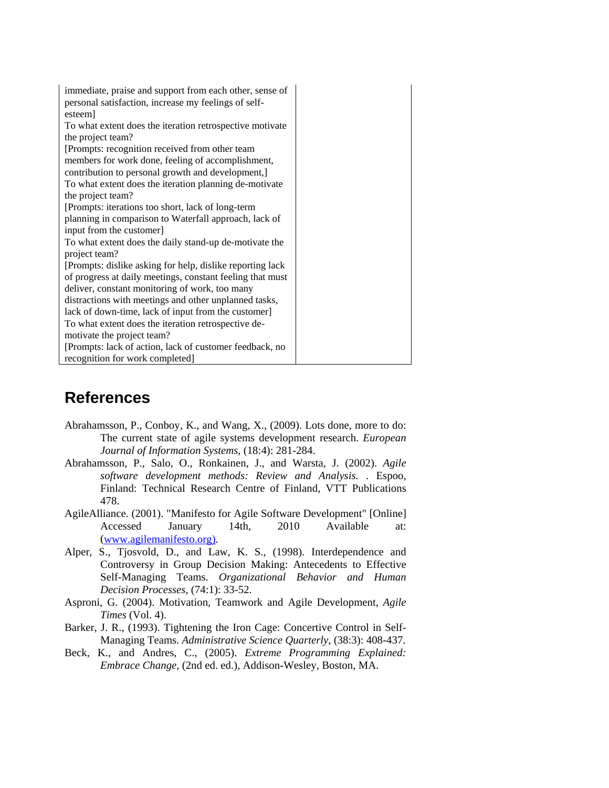| immediate, praise and support from each other, sense of    |
|------------------------------------------------------------|
| personal satisfaction, increase my feelings of self-       |
| esteem                                                     |
| To what extent does the iteration retrospective motivate   |
| the project team?                                          |
| [Prompts: recognition received from other team]            |
| members for work done, feeling of accomplishment,          |
| contribution to personal growth and development,]          |
| To what extent does the iteration planning de-motivate     |
| the project team?                                          |
| [Prompts: iterations too short, lack of long-term          |
| planning in comparison to Waterfall approach, lack of      |
| input from the customer]                                   |
| To what extent does the daily stand-up de-motivate the     |
| project team?                                              |
| [Prompts: dislike asking for help, dislike reporting lack] |
| of progress at daily meetings, constant feeling that must  |
| deliver, constant monitoring of work, too many             |
| distractions with meetings and other unplanned tasks,      |
| lack of down-time, lack of input from the customer]        |
| To what extent does the iteration retrospective de-        |
| motivate the project team?                                 |
| [Prompts: lack of action, lack of customer feedback, no    |
| recognition for work completed]                            |

## **References**

- Abrahamsson, P., Conboy, K., and Wang, X., (2009). Lots done, more to do: The current state of agile systems development research. *European Journal of Information Systems*, (18:4): 281-284.
- Abrahamsson, P., Salo, O., Ronkainen, J., and Warsta, J. (2002). *Agile software development methods: Review and Analysis.* . Espoo, Finland: Technical Research Centre of Finland, VTT Publications 478.
- AgileAlliance. (2001). "Manifesto for Agile Software Development" [Online] Accessed January 14th, 2010 Available at: [\(www.agilemanifesto.org\).](http://www.agilemanifesto.org)/)
- Alper, S., Tjosvold, D., and Law, K. S., (1998). Interdependence and Controversy in Group Decision Making: Antecedents to Effective Self-Managing Teams. *Organizational Behavior and Human Decision Processes*, (74:1): 33-52.
- Asproni, G. (2004). Motivation, Teamwork and Agile Development, *Agile Times* (Vol. 4).
- Barker, J. R., (1993). Tightening the Iron Cage: Concertive Control in Self-Managing Teams. *Administrative Science Quarterly*, (38:3): 408-437.
- Beck, K., and Andres, C., (2005). *Extreme Programming Explained: Embrace Change*, (2nd ed. ed.), Addison-Wesley, Boston, MA.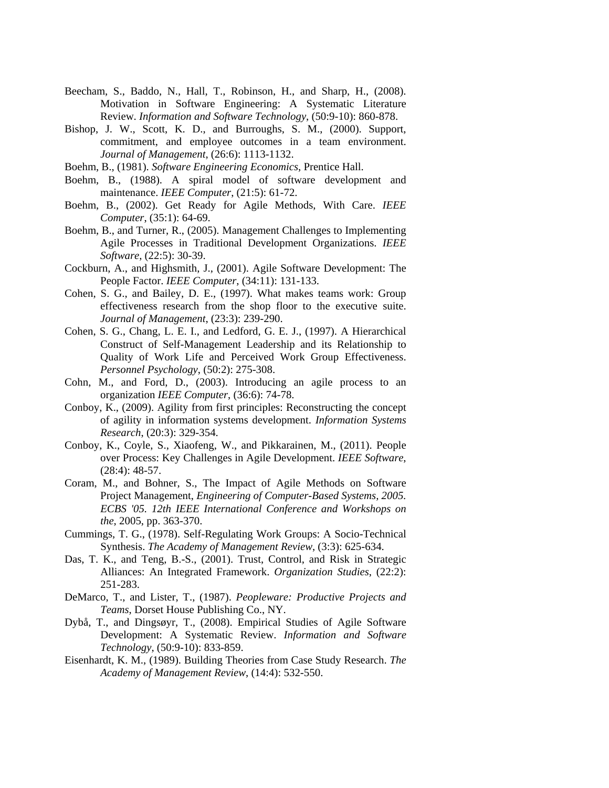- Beecham, S., Baddo, N., Hall, T., Robinson, H., and Sharp, H., (2008). Motivation in Software Engineering: A Systematic Literature Review. *Information and Software Technology*, (50:9-10): 860-878.
- Bishop, J. W., Scott, K. D., and Burroughs, S. M., (2000). Support, commitment, and employee outcomes in a team environment. *Journal of Management*, (26:6): 1113-1132.
- Boehm, B., (1981). *Software Engineering Economics*, Prentice Hall.
- Boehm, B., (1988). A spiral model of software development and maintenance. *IEEE Computer*, (21:5): 61-72.
- Boehm, B., (2002). Get Ready for Agile Methods, With Care. *IEEE Computer*, (35:1): 64-69.
- Boehm, B., and Turner, R., (2005). Management Challenges to Implementing Agile Processes in Traditional Development Organizations. *IEEE Software*, (22:5): 30-39.
- Cockburn, A., and Highsmith, J., (2001). Agile Software Development: The People Factor. *IEEE Computer*, (34:11): 131-133.
- Cohen, S. G., and Bailey, D. E., (1997). What makes teams work: Group effectiveness research from the shop floor to the executive suite. *Journal of Management*, (23:3): 239-290.
- Cohen, S. G., Chang, L. E. I., and Ledford, G. E. J., (1997). A Hierarchical Construct of Self-Management Leadership and its Relationship to Quality of Work Life and Perceived Work Group Effectiveness. *Personnel Psychology*, (50:2): 275-308.
- Cohn, M., and Ford, D., (2003). Introducing an agile process to an organization *IEEE Computer*, (36:6): 74-78.
- Conboy, K., (2009). Agility from first principles: Reconstructing the concept of agility in information systems development. *Information Systems Research*, (20:3): 329-354.
- Conboy, K., Coyle, S., Xiaofeng, W., and Pikkarainen, M., (2011). People over Process: Key Challenges in Agile Development. *IEEE Software*, (28:4): 48-57.
- Coram, M., and Bohner, S., The Impact of Agile Methods on Software Project Management, *Engineering of Computer-Based Systems, 2005. ECBS '05. 12th IEEE International Conference and Workshops on the*, 2005, pp. 363-370.
- Cummings, T. G., (1978). Self-Regulating Work Groups: A Socio-Technical Synthesis. *The Academy of Management Review*, (3:3): 625-634.
- Das, T. K., and Teng, B.-S., (2001). Trust, Control, and Risk in Strategic Alliances: An Integrated Framework. *Organization Studies*, (22:2): 251-283.
- DeMarco, T., and Lister, T., (1987). *Peopleware: Productive Projects and Teams*, Dorset House Publishing Co., NY.
- Dybå, T., and Dingsøyr, T., (2008). Empirical Studies of Agile Software Development: A Systematic Review. *Information and Software Technology*, (50:9-10): 833-859.
- Eisenhardt, K. M., (1989). Building Theories from Case Study Research. *The Academy of Management Review*, (14:4): 532-550.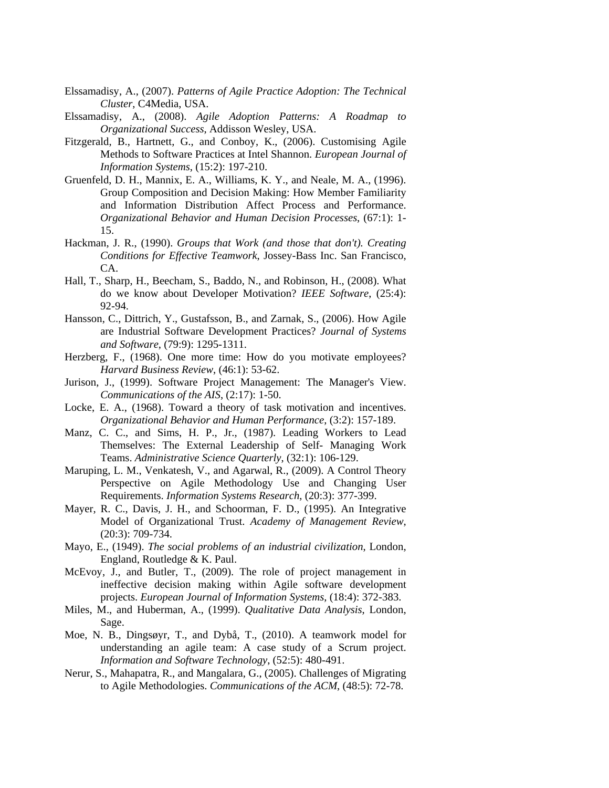- Elssamadisy, A., (2007). *Patterns of Agile Practice Adoption: The Technical Cluster*, C4Media, USA.
- Elssamadisy, A., (2008). *Agile Adoption Patterns: A Roadmap to Organizational Success*, Addisson Wesley, USA.
- Fitzgerald, B., Hartnett, G., and Conboy, K., (2006). Customising Agile Methods to Software Practices at Intel Shannon. *European Journal of Information Systems*, (15:2): 197-210.
- Gruenfeld, D. H., Mannix, E. A., Williams, K. Y., and Neale, M. A., (1996). Group Composition and Decision Making: How Member Familiarity and Information Distribution Affect Process and Performance. *Organizational Behavior and Human Decision Processes*, (67:1): 1- 15.
- Hackman, J. R., (1990). *Groups that Work (and those that don't). Creating Conditions for Effective Teamwork*, Jossey-Bass Inc. San Francisco, CA.
- Hall, T., Sharp, H., Beecham, S., Baddo, N., and Robinson, H., (2008). What do we know about Developer Motivation? *IEEE Software*, (25:4): 92-94.
- Hansson, C., Dittrich, Y., Gustafsson, B., and Zarnak, S., (2006). How Agile are Industrial Software Development Practices? *Journal of Systems and Software*, (79:9): 1295-1311.
- Herzberg, F., (1968). One more time: How do you motivate employees? *Harvard Business Review*, (46:1): 53-62.
- Jurison, J., (1999). Software Project Management: The Manager's View. *Communications of the AIS*, (2:17): 1-50.
- Locke, E. A., (1968). Toward a theory of task motivation and incentives. *Organizational Behavior and Human Performance*, (3:2): 157-189.
- Manz, C. C., and Sims, H. P., Jr., (1987). Leading Workers to Lead Themselves: The External Leadership of Self- Managing Work Teams. *Administrative Science Quarterly*, (32:1): 106-129.
- Maruping, L. M., Venkatesh, V., and Agarwal, R., (2009). A Control Theory Perspective on Agile Methodology Use and Changing User Requirements. *Information Systems Research*, (20:3): 377-399.
- Mayer, R. C., Davis, J. H., and Schoorman, F. D., (1995). An Integrative Model of Organizational Trust. *Academy of Management Review*, (20:3): 709-734.
- Mayo, E., (1949). *The social problems of an industrial civilization*, London, England, Routledge & K. Paul.
- McEvoy, J., and Butler, T., (2009). The role of project management in ineffective decision making within Agile software development projects. *European Journal of Information Systems*, (18:4): 372-383.
- Miles, M., and Huberman, A., (1999). *Qualitative Data Analysis*, London, Sage.
- Moe, N. B., Dingsøyr, T., and Dybå, T., (2010). A teamwork model for understanding an agile team: A case study of a Scrum project. *Information and Software Technology*, (52:5): 480-491.
- Nerur, S., Mahapatra, R., and Mangalara, G., (2005). Challenges of Migrating to Agile Methodologies. *Communications of the ACM*, (48:5): 72-78.